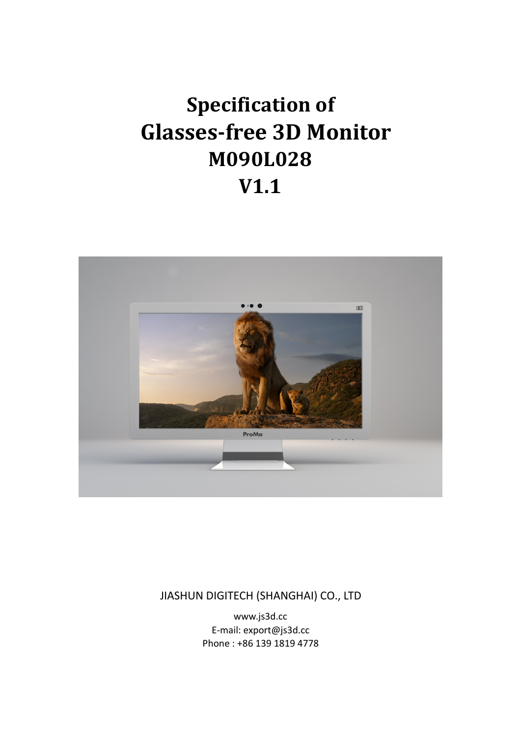## **Specification of Glasses-free 3D Monitor M090L028 V1.1**



JIASHUN DIGITECH (SHANGHAI) CO., LTD

www.js3d.cc E-mail: export@js3d.cc Phone : +86 139 1819 4778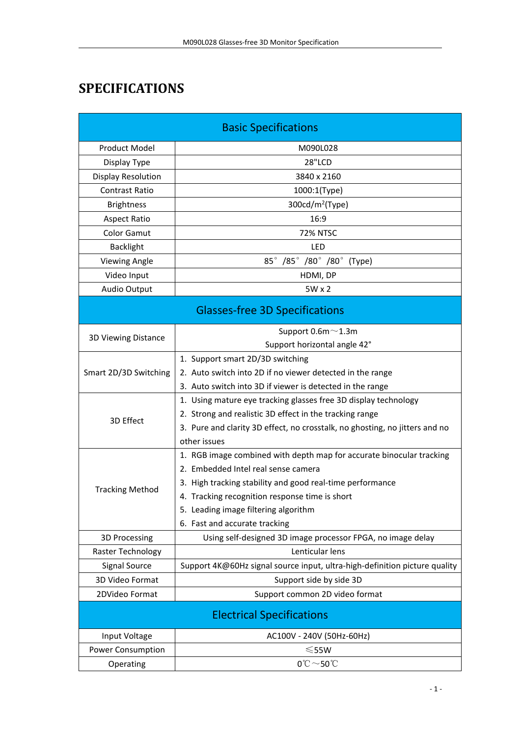## **SPECIFICATIONS**

| <b>Basic Specifications</b>           |                                                                             |  |
|---------------------------------------|-----------------------------------------------------------------------------|--|
| <b>Product Model</b>                  | M090L028                                                                    |  |
| Display Type                          | 28"LCD                                                                      |  |
| Display Resolution                    | 3840 x 2160                                                                 |  |
| Contrast Ratio                        | 1000:1(Type)                                                                |  |
| <b>Brightness</b>                     | 300cd/m <sup>2</sup> (Type)                                                 |  |
| <b>Aspect Ratio</b>                   | 16:9                                                                        |  |
| <b>Color Gamut</b>                    | <b>72% NTSC</b>                                                             |  |
| <b>Backlight</b>                      | LED                                                                         |  |
| <b>Viewing Angle</b>                  | 85° /85° /80° /80° (Type)                                                   |  |
| Video Input                           | HDMI, DP                                                                    |  |
| Audio Output                          | 5W x 2                                                                      |  |
| <b>Glasses-free 3D Specifications</b> |                                                                             |  |
| 3D Viewing Distance                   | Support $0.6m \sim 1.3m$                                                    |  |
|                                       | Support horizontal angle 42°                                                |  |
| Smart 2D/3D Switching                 | 1. Support smart 2D/3D switching                                            |  |
|                                       | 2. Auto switch into 2D if no viewer detected in the range                   |  |
|                                       | 3. Auto switch into 3D if viewer is detected in the range                   |  |
| 3D Effect                             | 1. Using mature eye tracking glasses free 3D display technology             |  |
|                                       | 2. Strong and realistic 3D effect in the tracking range                     |  |
|                                       | 3. Pure and clarity 3D effect, no crosstalk, no ghosting, no jitters and no |  |
|                                       | other issues                                                                |  |
| <b>Tracking Method</b>                | 1. RGB image combined with depth map for accurate binocular tracking        |  |
|                                       | 2. Embedded Intel real sense camera                                         |  |
|                                       | 3. High tracking stability and good real-time performance                   |  |
|                                       | 4. Tracking recognition response time is short                              |  |
|                                       | 5. Leading image filtering algorithm<br>6. Fast and accurate tracking       |  |
| <b>3D Processing</b>                  | Using self-designed 3D image processor FPGA, no image delay                 |  |
| Raster Technology                     | Lenticular lens                                                             |  |
| <b>Signal Source</b>                  | Support 4K@60Hz signal source input, ultra-high-definition picture quality  |  |
| 3D Video Format                       | Support side by side 3D                                                     |  |
| 2DVideo Format                        | Support common 2D video format                                              |  |
|                                       | <b>Electrical Specifications</b>                                            |  |
| Input Voltage                         | AC100V - 240V (50Hz-60Hz)                                                   |  |
| <b>Power Consumption</b>              | $≤55W$                                                                      |  |
| Operating                             | $0^{\circ}\text{C}\!\sim\!50^{\circ}\!\text{C}$                             |  |
|                                       |                                                                             |  |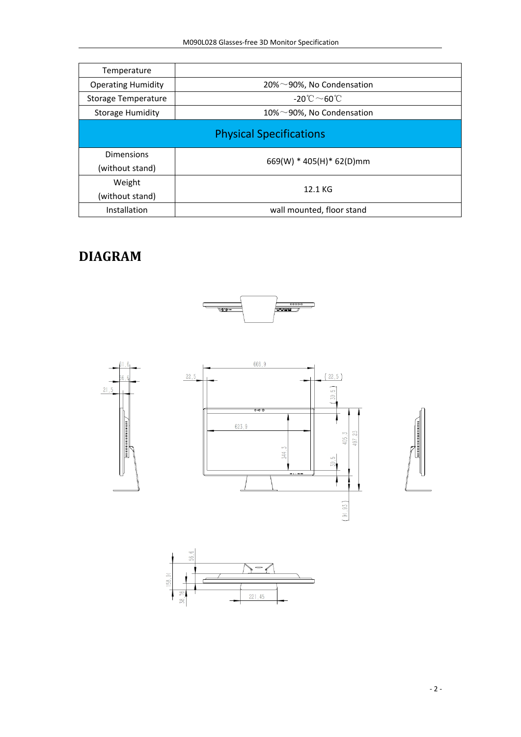| Temperature               |                                         |
|---------------------------|-----------------------------------------|
| <b>Operating Humidity</b> | 20% $\sim$ 90%, No Condensation         |
| Storage Temperature       | -20 $^{\circ}$ C $\sim$ 60 $^{\circ}$ C |
| <b>Storage Humidity</b>   | 10% $\sim$ 90%, No Condensation         |
|                           | <b>Physical Specifications</b>          |
| <b>Dimensions</b>         | 669(W) * 405(H) * 62(D)mm               |
| (without stand)           |                                         |
| Weight                    | 12.1 KG                                 |
| (without stand)           |                                         |
| Installation              | wall mounted, floor stand               |

## **DIAGRAM**